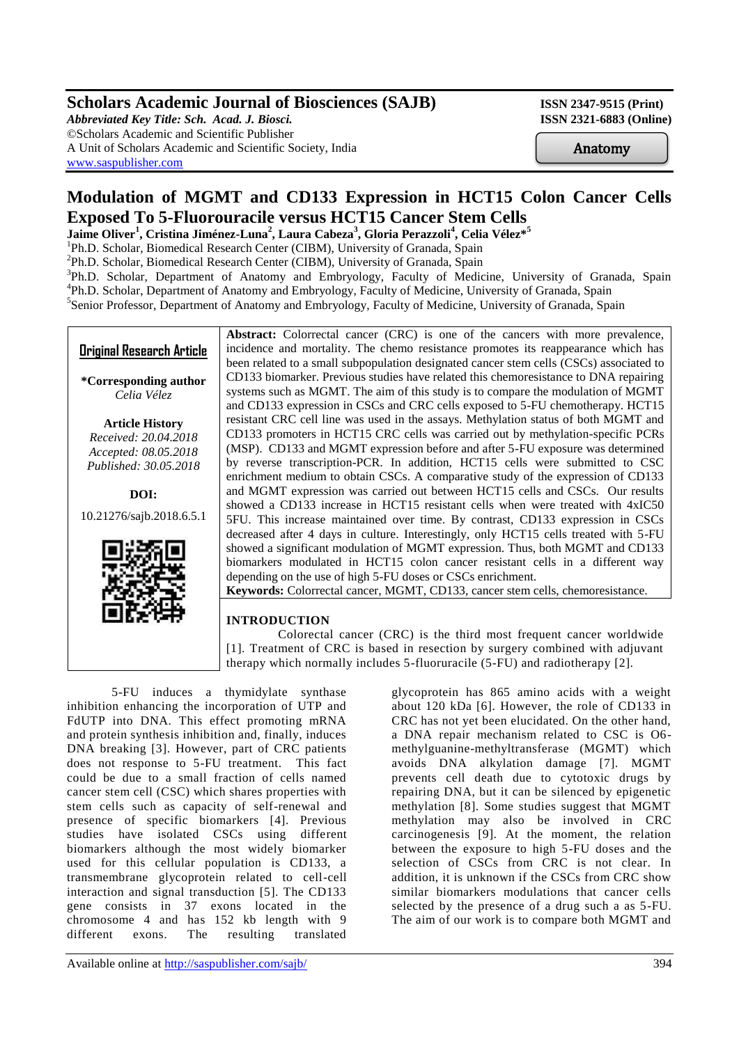## **Scholars Academic Journal of Biosciences (SAJB)** ISSN 2347-9515 (Print)

*Abbreviated Key Title: Sch. Acad. J. Biosci.* **ISSN 2321-6883 (Online)** ©Scholars Academic and Scientific Publisher A Unit of Scholars Academic and Scientific Society, India [www.saspublisher.com](http://www.saspublisher.com/)

Anatomy

# **Modulation of MGMT and CD133 Expression in HCT15 Colon Cancer Cells Exposed To 5-Fluorouracile versus HCT15 Cancer Stem Cells**

**Jaime Oliver<sup>1</sup> , Cristina Jiménez-Luna<sup>2</sup> , Laura Cabeza<sup>3</sup> , Gloria Perazzoli<sup>4</sup> , Celia Vélez\*<sup>5</sup>**

<sup>1</sup>Ph.D. Scholar, Biomedical Research Center (CIBM), University of Granada, Spain

<sup>2</sup>Ph.D. Scholar, Biomedical Research Center (CIBM), University of Granada, Spain

<sup>3</sup>Ph.D. Scholar, Department of Anatomy and Embryology, Faculty of Medicine, University of Granada, Spain 4 Ph.D. Scholar, Department of Anatomy and Embryology, Faculty of Medicine, University of Granada, Spain <sup>5</sup>Senior Professor, Department of Anatomy and Embryology, Faculty of Medicine, University of Granada, Spain

**Original Research Article**

**\*Corresponding author** *Celia Vélez*

**Article History** *Received: 20.04.2018 Accepted: 08.05.2018 Published: 30.05.2018*

**DOI:**

10.21276/sajb.2018.6.5.1



Abstract: Colorrectal cancer (CRC) is one of the cancers with more prevalence, incidence and mortality. The chemo resistance promotes its reappearance which has been related to a small subpopulation designated cancer stem cells (CSCs) associated to CD133 biomarker. Previous studies have related this chemoresistance to DNA repairing systems such as MGMT. The aim of this study is to compare the modulation of MGMT and CD133 expression in CSCs and CRC cells exposed to 5-FU chemotherapy. HCT15 resistant CRC cell line was used in the assays. Methylation status of both MGMT and CD133 promoters in HCT15 CRC cells was carried out by methylation-specific PCRs (MSP). CD133 and MGMT expression before and after 5-FU exposure was determined by reverse transcription-PCR. In addition, HCT15 cells were submitted to CSC enrichment medium to obtain CSCs. A comparative study of the expression of CD133 and MGMT expression was carried out between HCT15 cells and CSCs. Our results showed a CD133 increase in HCT15 resistant cells when were treated with 4xIC50 5FU. This increase maintained over time. By contrast, CD133 expression in CSCs decreased after 4 days in culture. Interestingly, only HCT15 cells treated with 5-FU showed a significant modulation of MGMT expression. Thus, both MGMT and CD133 biomarkers modulated in HCT15 colon cancer resistant cells in a different way depending on the use of high 5-FU doses or CSCs enrichment. **Keywords:** Colorrectal cancer, MGMT, CD133, cancer stem cells, chemoresistance.

## **INTRODUCTION**

 Colorectal cancer (CRC) is the third most frequent cancer worldwide [1]. Treatment of CRC is based in resection by surgery combined with adjuvant therapy which normally includes 5-fluoruracile (5-FU) and radiotherapy [2].

5-FU induces a thymidylate synthase inhibition enhancing the incorporation of UTP and FdUTP into DNA. This effect promoting mRNA and protein synthesis inhibition and, finally, induces DNA breaking [3]. However, part of CRC patients does not response to 5-FU treatment. This fact could be due to a small fraction of cells named cancer stem cell (CSC) which shares properties with stem cells such as capacity of self-renewal and presence of specific biomarkers [4]. Previous studies have isolated CSCs using different biomarkers although the most widely biomarker used for this cellular population is CD133, a transmembrane glycoprotein related to cell-cell interaction and signal transduction [5]. The CD133 gene consists in 37 exons located in the chromosome 4 and has 152 kb length with 9 different exons. The resulting translated

glycoprotein has 865 amino acids with a weight about 120 kDa [6]. However, the role of CD133 in CRC has not yet been elucidated. On the other hand, a DNA repair mechanism related to CSC is O6 methylguanine-methyltransferase (MGMT) which avoids DNA alkylation damage [7]. MGMT prevents cell death due to cytotoxic drugs by repairing DNA, but it can be silenced by epigenetic methylation [8]. Some studies suggest that MGMT methylation may also be involved in CRC carcinogenesis [9]. At the moment, the relation between the exposure to high 5-FU doses and the selection of CSCs from CRC is not clear. In addition, it is unknown if the CSCs from CRC show similar biomarkers modulations that cancer cells selected by the presence of a drug such a as 5-FU. The aim of our work is to compare both MGMT and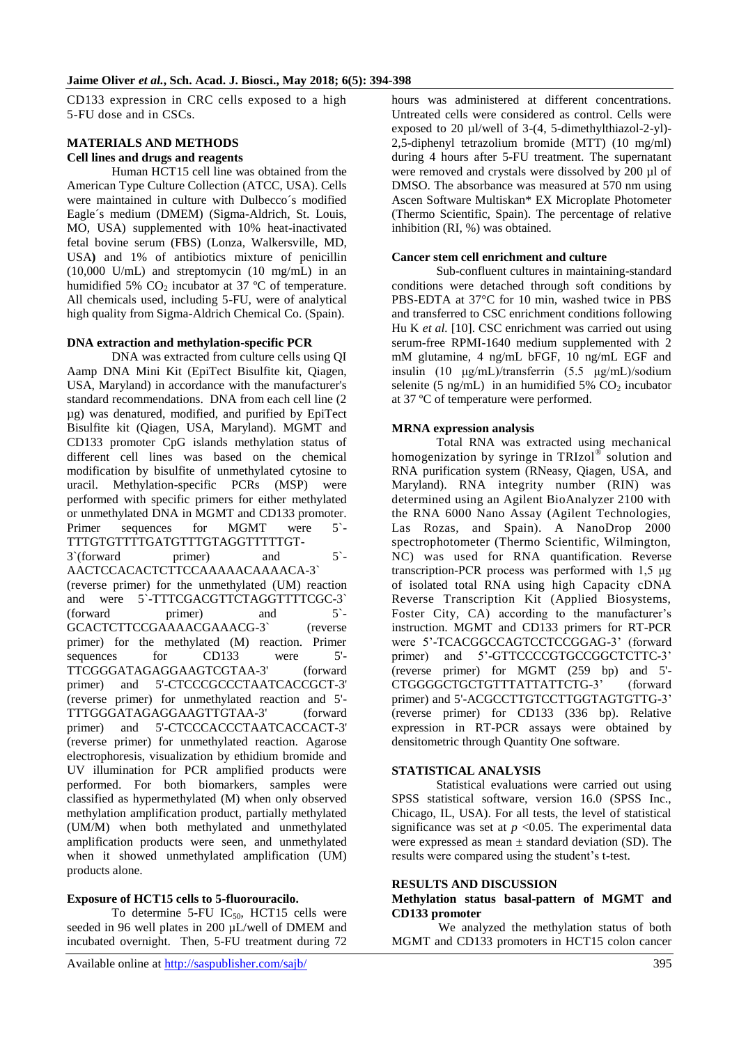CD133 expression in CRC cells exposed to a high 5-FU dose and in CSCs.

## **MATERIALS AND METHODS Cell lines and drugs and reagents**

Human HCT15 cell line was obtained from the American Type Culture Collection (ATCC, USA). Cells were maintained in culture with Dulbecco´s modified Eagle´s medium (DMEM) (Sigma-Aldrich, St. Louis, MO, USA) supplemented with 10% heat-inactivated fetal bovine serum (FBS) (Lonza, Walkersville, MD, USA**)** and 1% of antibiotics mixture of penicillin (10,000 U/mL) and streptomycin (10 mg/mL) in an humidified 5%  $CO<sub>2</sub>$  incubator at 37 °C of temperature. All chemicals used, including 5-FU, were of analytical high quality from Sigma-Aldrich Chemical Co. (Spain).

## **DNA extraction and methylation-specific PCR**

DNA was extracted from culture cells using QI Aamp DNA Mini Kit (EpiTect Bisulfite kit, Qiagen, USA, Maryland) in accordance with the manufacturer's standard recommendations. DNA from each cell line (2 µg) was denatured, modified, and purified by EpiTect Bisulfite kit (Qiagen, USA, Maryland). MGMT and CD133 promoter CpG islands methylation status of different cell lines was based on the chemical modification by bisulfite of unmethylated cytosine to uracil. Methylation-specific PCRs (MSP) were performed with specific primers for either methylated or unmethylated DNA in MGMT and CD133 promoter. Primer sequences for MGMT were 5<sup>-</sup> TTTGTGTTTTGATGTTTGTAGGTTTTTGT-3`(forward primer) and 5`- AACTCCACACTCTTCCAAAAACAAAACA-3` (reverse primer) for the unmethylated (UM) reaction and were 5`-TTTCGACGTTCTAGGTTTTCGC-3` (forward primer) and 5`- GCACTCTTCCGAAAACGAAACG-3` (reverse primer) for the methylated (M) reaction. Primer sequences for CD133 were 5'-TTCGGGATAGAGGAAGTCGTAA-3' (forward primer) and 5'-CTCCCGCCCTAATCACCGCT-3' (reverse primer) for unmethylated reaction and 5'- TTTGGGATAGAGGAAGTTGTAA-3' (forward primer) and 5'-CTCCCACCCTAATCACCACT-3' (reverse primer) for unmethylated reaction. Agarose electrophoresis, visualization by ethidium bromide and UV illumination for PCR amplified products were performed. For both biomarkers, samples were classified as hypermethylated (M) when only observed methylation amplification product, partially methylated (UM/M) when both methylated and unmethylated amplification products were seen, and unmethylated when it showed unmethylated amplification (UM) products alone.

## **Exposure of HCT15 cells to 5-fluorouracilo.**

To determine 5-FU  $IC_{50}$ , HCT15 cells were seeded in 96 well plates in 200 µL/well of DMEM and incubated overnight. Then, 5-FU treatment during 72 hours was administered at different concentrations. Untreated cells were considered as control. Cells were exposed to 20 µl/well of 3-(4, 5-dimethylthiazol-2-yl)- 2,5-diphenyl tetrazolium bromide (MTT) (10 mg/ml) during 4 hours after 5-FU treatment. The supernatant were removed and crystals were dissolved by 200 µl of DMSO. The absorbance was measured at 570 nm using Ascen Software Multiskan\* EX Microplate Photometer (Thermo Scientific, Spain). The percentage of relative inhibition (RI, %) was obtained.

## **Cancer stem cell enrichment and culture**

Sub-confluent cultures in maintaining-standard conditions were detached through soft conditions by PBS-EDTA at 37°C for 10 min, washed twice in PBS and transferred to CSC enrichment conditions following Hu K *et al.* [10]. CSC enrichment was carried out using serum-free RPMI-1640 medium supplemented with 2 mM glutamine, 4 ng/mL bFGF, 10 ng/mL EGF and insulin (10 μg/mL)/transferrin (5.5 μg/mL)/sodium selenite (5 ng/mL) in an humidified 5%  $CO<sub>2</sub>$  incubator at 37 ºC of temperature were performed.

## **MRNA expression analysis**

Total RNA was extracted using mechanical homogenization by syringe in TRIzol® solution and RNA purification system (RNeasy, Qiagen, USA, and Maryland). RNA integrity number (RIN) was determined using an Agilent BioAnalyzer 2100 with the RNA 6000 Nano Assay (Agilent Technologies, Las Rozas, and Spain). A NanoDrop 2000 spectrophotometer (Thermo Scientific, Wilmington, NC) was used for RNA quantification. Reverse transcription-PCR process was performed with 1,5 μg of isolated total RNA using high Capacity cDNA Reverse Transcription Kit (Applied Biosystems, Foster City, CA) according to the manufacturer's instruction. MGMT and CD133 primers for RT-PCR were 5'-TCACGGCCAGTCCTCCGGAG-3' (forward primer) and 5'-GTTCCCCGTGCCGGCTCTTC-3' (reverse primer) for MGMT (259 bp) and 5'- CTGGGGCTGCTGTTTATTATTCTG-3' (forward primer) and 5'-ACGCCTTGTCCTTGGTAGTGTTG-3' (reverse primer) for CD133 (336 bp). Relative expression in RT-PCR assays were obtained by densitometric through Quantity One software.

## **STATISTICAL ANALYSIS**

Statistical evaluations were carried out using SPSS statistical software, version 16.0 (SPSS Inc., Chicago, IL, USA). For all tests, the level of statistical significance was set at  $p < 0.05$ . The experimental data were expressed as mean  $\pm$  standard deviation (SD). The results were compared using the student's t-test.

## **RESULTS AND DISCUSSION**

#### **Methylation status basal-pattern of MGMT and CD133 promoter**

 We analyzed the methylation status of both MGMT and CD133 promoters in HCT15 colon cancer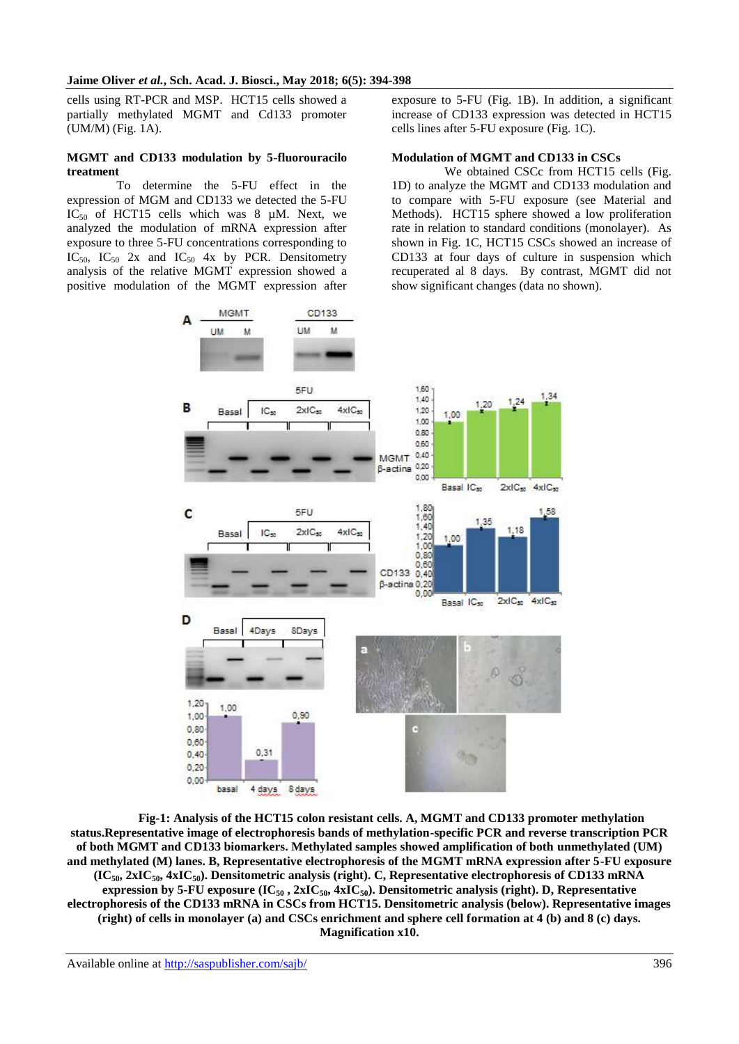cells using RT-PCR and MSP. HCT15 cells showed a partially methylated MGMT and Cd133 promoter (UM/M) (Fig. 1A).

#### **MGMT and CD133 modulation by 5-fluorouracilo treatment**

 To determine the 5-FU effect in the expression of MGM and CD133 we detected the 5-FU IC<sub>50</sub> of HCT15 cells which was 8  $\mu$ M. Next, we analyzed the modulation of mRNA expression after exposure to three 5-FU concentrations corresponding to  $IC_{50}$ ,  $IC_{50}$  2x and  $IC_{50}$  4x by PCR. Densitometry analysis of the relative MGMT expression showed a positive modulation of the MGMT expression after

A

**MGMT** 

M

**LIM** 

CD133

ù

exposure to 5-FU (Fig. 1B). In addition, a significant increase of CD133 expression was detected in HCT15 cells lines after 5-FU exposure (Fig. 1C).

#### **Modulation of MGMT and CD133 in CSCs**

 We obtained CSCc from HCT15 cells (Fig. 1D) to analyze the MGMT and CD133 modulation and to compare with 5-FU exposure (see Material and Methods). HCT15 sphere showed a low proliferation rate in relation to standard conditions (monolayer). As shown in Fig. 1C, HCT15 CSCs showed an increase of CD133 at four days of culture in suspension which recuperated al 8 days. By contrast, MGMT did not show significant changes (data no shown).



**Fig-1: Analysis of the HCT15 colon resistant cells. A, MGMT and CD133 promoter methylation status.Representative image of electrophoresis bands of methylation-specific PCR and reverse transcription PCR of both MGMT and CD133 biomarkers. Methylated samples showed amplification of both unmethylated (UM) and methylated (M) lanes. B, Representative electrophoresis of the MGMT mRNA expression after 5-FU exposure (IC50, 2xIC50, 4xIC50). Densitometric analysis (right). C, Representative electrophoresis of CD133 mRNA expression by 5-FU exposure**  $(IC_{50}$ **,**  $2xIC_{50}$ **,**  $4xIC_{50}$ **). Densitometric analysis (right). D, Representative electrophoresis of the CD133 mRNA in CSCs from HCT15. Densitometric analysis (below). Representative images (right) of cells in monolayer (a) and CSCs enrichment and sphere cell formation at 4 (b) and 8 (c) days. Magnification x10.**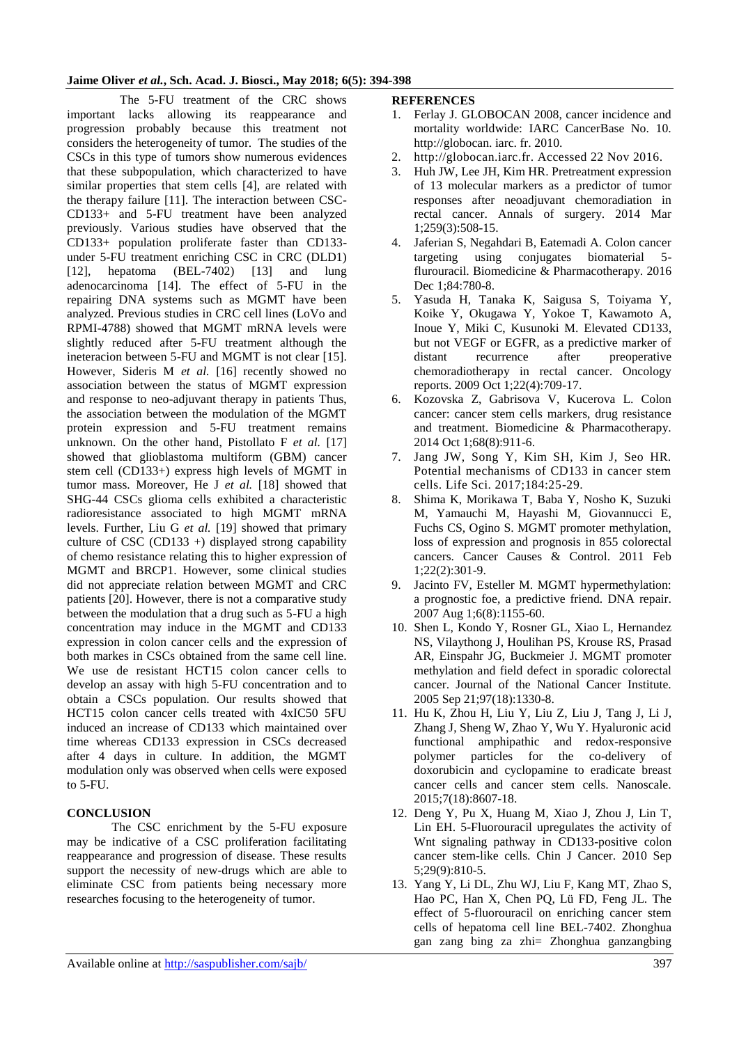## **Jaime Oliver** *et al.***, Sch. Acad. J. Biosci., May 2018; 6(5): 394-398**

 The 5-FU treatment of the CRC shows important lacks allowing its reappearance and progression probably because this treatment not considers the heterogeneity of tumor. The studies of the CSCs in this type of tumors show numerous evidences that these subpopulation, which characterized to have similar properties that stem cells [4], are related with the therapy failure [11]. The interaction between CSC-CD133+ and 5-FU treatment have been analyzed previously. Various studies have observed that the CD133+ population proliferate faster than CD133 under 5-FU treatment enriching CSC in CRC (DLD1) [12], hepatoma (BEL-7402) [13] and lung adenocarcinoma [14]. The effect of 5-FU in the repairing DNA systems such as MGMT have been analyzed. Previous studies in CRC cell lines (LoVo and RPMI-4788) showed that MGMT mRNA levels were slightly reduced after 5-FU treatment although the ineteracion between 5-FU and MGMT is not clear [15]. However, Sideris M *et al.* [16] recently showed no association between the status of MGMT expression and response to neo-adjuvant therapy in patients Thus, the association between the modulation of the MGMT protein expression and 5-FU treatment remains unknown. On the other hand, Pistollato F *et al.* [17] showed that glioblastoma multiform (GBM) cancer stem cell (CD133+) express high levels of MGMT in tumor mass. Moreover, He J *et al.* [18] showed that SHG-44 CSCs glioma cells exhibited a characteristic radioresistance associated to high MGMT mRNA levels. Further, Liu G *et al.* [19] showed that primary culture of CSC (CD133 +) displayed strong capability of chemo resistance relating this to higher expression of MGMT and BRCP1. However, some clinical studies did not appreciate relation between MGMT and CRC patients [20]. However, there is not a comparative study between the modulation that a drug such as 5-FU a high concentration may induce in the MGMT and CD133 expression in colon cancer cells and the expression of both markes in CSCs obtained from the same cell line. We use de resistant HCT15 colon cancer cells to develop an assay with high 5-FU concentration and to obtain a CSCs population. Our results showed that HCT15 colon cancer cells treated with 4xIC50 5FU induced an increase of CD133 which maintained over time whereas CD133 expression in CSCs decreased after 4 days in culture. In addition, the MGMT modulation only was observed when cells were exposed to 5-FU.

## **CONCLUSION**

The CSC enrichment by the 5-FU exposure may be indicative of a CSC proliferation facilitating reappearance and progression of disease. These results support the necessity of new-drugs which are able to eliminate CSC from patients being necessary more researches focusing to the heterogeneity of tumor.

#### **REFERENCES**

- 1. Ferlay J. GLOBOCAN 2008, cancer incidence and mortality worldwide: IARC CancerBase No. 10. http://globocan. iarc. fr. 2010.
- http://globocan.iarc.fr. Accessed 22 Nov 2016.
- 3. Huh JW, Lee JH, Kim HR. Pretreatment expression of 13 molecular markers as a predictor of tumor responses after neoadjuvant chemoradiation in rectal cancer. Annals of surgery. 2014 Mar 1;259(3):508-15.
- 4. Jaferian S, Negahdari B, Eatemadi A. Colon cancer targeting using conjugates biomaterial 5 flurouracil. Biomedicine & Pharmacotherapy. 2016 Dec 1;84:780-8.
- 5. Yasuda H, Tanaka K, Saigusa S, Toiyama Y, Koike Y, Okugawa Y, Yokoe T, Kawamoto A, Inoue Y, Miki C, Kusunoki M. Elevated CD133, but not VEGF or EGFR, as a predictive marker of distant recurrence after preoperative chemoradiotherapy in rectal cancer. Oncology reports. 2009 Oct 1;22(4):709-17.
- 6. Kozovska Z, Gabrisova V, Kucerova L. Colon cancer: cancer stem cells markers, drug resistance and treatment. Biomedicine & Pharmacotherapy. 2014 Oct 1;68(8):911-6.
- 7. Jang JW, Song Y, Kim SH, Kim J, Seo HR. Potential mechanisms of CD133 in cancer stem cells. Life Sci. 2017;184:25-29.
- 8. Shima K, Morikawa T, Baba Y, Nosho K, Suzuki M, Yamauchi M, Hayashi M, Giovannucci E, Fuchs CS, Ogino S. MGMT promoter methylation, loss of expression and prognosis in 855 colorectal cancers. Cancer Causes & Control. 2011 Feb 1;22(2):301-9.
- 9. Jacinto FV, Esteller M. MGMT hypermethylation: a prognostic foe, a predictive friend. DNA repair. 2007 Aug 1;6(8):1155-60.
- 10. Shen L, Kondo Y, Rosner GL, Xiao L, Hernandez NS, Vilaythong J, Houlihan PS, Krouse RS, Prasad AR, Einspahr JG, Buckmeier J. MGMT promoter methylation and field defect in sporadic colorectal cancer. Journal of the National Cancer Institute. 2005 Sep 21;97(18):1330-8.
- 11. Hu K, Zhou H, Liu Y, Liu Z, Liu J, Tang J, Li J, Zhang J, Sheng W, Zhao Y, Wu Y. Hyaluronic acid functional amphipathic and redox-responsive polymer particles for the co-delivery of doxorubicin and cyclopamine to eradicate breast cancer cells and cancer stem cells. Nanoscale. 2015;7(18):8607-18.
- 12. Deng Y, Pu X, Huang M, Xiao J, Zhou J, Lin T, Lin EH. 5-Fluorouracil upregulates the activity of Wnt signaling pathway in CD133-positive colon cancer stem-like cells. Chin J Cancer. 2010 Sep 5;29(9):810-5.
- 13. Yang Y, Li DL, Zhu WJ, Liu F, Kang MT, Zhao S, Hao PC, Han X, Chen PQ, Lü FD, Feng JL. The effect of 5-fluorouracil on enriching cancer stem cells of hepatoma cell line BEL-7402. Zhonghua gan zang bing za zhi= Zhonghua ganzangbing